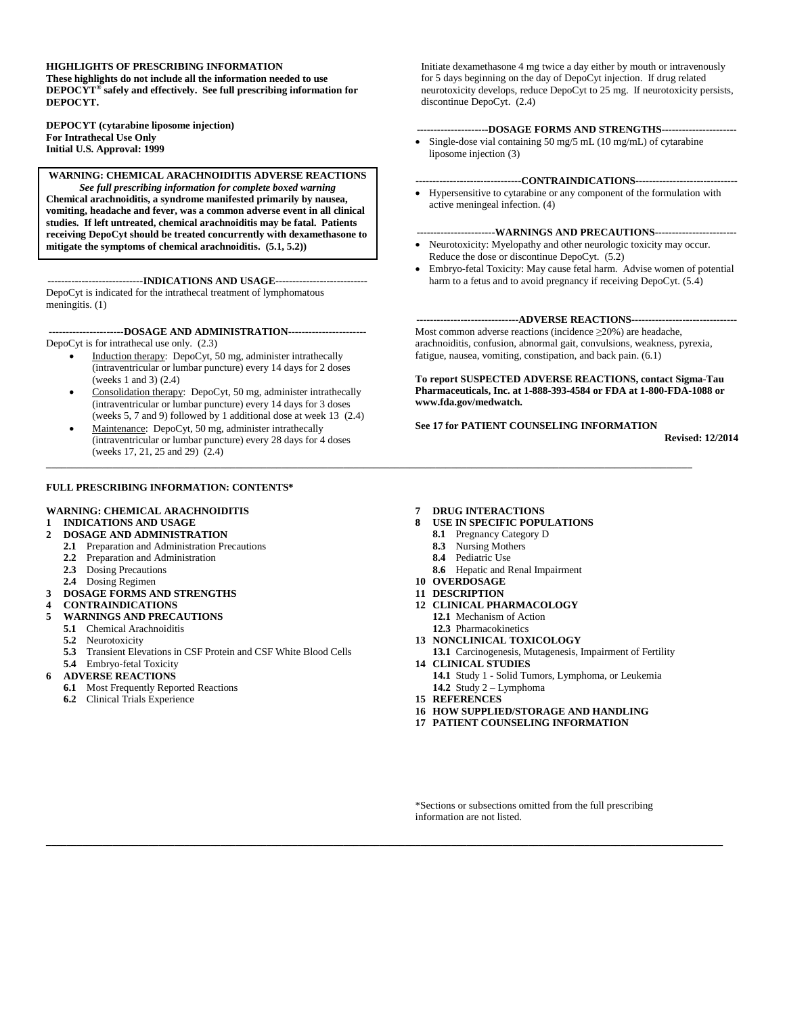#### **HIGHLIGHTS OF PRESCRIBING INFORMATION**

**These highlights do not include all the information needed to use DEPOCYT® safely and effectively. See full prescribing information for DEPOCYT.** 

**DEPOCYT (cytarabine liposome injection) For Intrathecal Use Only Initial U.S. Approval: 1999**

**WARNING: CHEMICAL ARACHNOIDITIS ADVERSE REACTIONS** *See full prescribing information for complete boxed warning* **Chemical arachnoiditis, a syndrome manifested primarily by nausea, vomiting, headache and fever, was a common adverse event in all clinical studies. If left untreated, chemical arachnoiditis may be fatal. Patients receiving DepoCyt should be treated concurrently with dexamethasone to mitigate the symptoms of chemical arachnoiditis. (5.1, 5.2))**

**----------------------------INDICATIONS AND USAGE---------------------------** DepoCyt is indicated for the intrathecal treatment of lymphomatous meningitis. (1)

**----------------------DOSAGE AND ADMINISTRATION-----------------------** DepoCyt is for intrathecal use only. (2.3)

- Induction therapy: DepoCyt, 50 mg, administer intrathecally (intraventricular or lumbar puncture) every 14 days for 2 doses (weeks 1 and 3) (2.4)
- Consolidation therapy: DepoCyt, 50 mg, administer intrathecally (intraventricular or lumbar puncture) every 14 days for 3 doses (weeks 5, 7 and 9) followed by 1 additional dose at week 13 (2.4)
- Maintenance: DepoCyt, 50 mg, administer intrathecally (intraventricular or lumbar puncture) every 28 days for 4 doses (weeks 17, 21, 25 and 29) (2.4)

#### **FULL PRESCRIBING INFORMATION: CONTENTS\***

#### **WARNING: CHEMICAL ARACHNOIDITIS 1 INDICATIONS AND USAGE**

#### **2 DOSAGE AND ADMINISTRATION**

- **2.1** Preparation and Administration Precautions
- **2.2** Preparation and Administration
- **2.3** Dosing Precautions
- 
- **2.4** Dosing Regimen
- **3 DOSAGE FORMS AND STRENGTHS**
- **4 CONTRAINDICATIONS**
- **5 WARNINGS AND PRECAUTIONS**
	- **5.1** Chemical Arachnoiditis **5.2** Neurotoxicity
	-
	- **5.3** Transient Elevations in CSF Protein and CSF White Blood Cells
	- **5.4** Embryo-fetal Toxicity
- **6 ADVERSE REACTIONS**
	- **6.1** Most Frequently Reported Reactions
	- **6.2** Clinical Trials Experience
- **7 DRUG INTERACTIONS**
- **8 USE IN SPECIFIC POPULATIONS**
	- **8.1** Pregnancy Category D
	- **8.3** Nursing Mothers
	- **8.4** Pediatric Use
- **8.6** Hepatic and Renal Impairment
- **10 OVERDOSAGE**
- **11 DESCRIPTION**
- **12 CLINICAL PHARMACOLOGY**
	- **12.1** Mechanism of Action
- **12.3** Pharmacokinetics **13 NONCLINICAL TOXICOLOGY**
- **13.1** Carcinogenesis, Mutagenesis, Impairment of Fertility
- **14 CLINICAL STUDIES 14.1** Study 1 - Solid Tumors, Lymphoma, or Leukemia **14.2** Study 2 – Lymphoma
- **15 REFERENCES**

**\_\_\_\_\_\_\_\_\_\_\_\_\_\_\_\_\_\_\_\_\_\_\_\_\_\_\_\_\_\_\_\_\_\_\_\_\_\_\_\_\_\_\_\_\_\_\_\_\_\_\_\_\_\_\_\_\_\_\_\_\_\_\_\_\_\_\_\_\_\_\_\_\_\_\_\_\_\_\_\_\_\_\_\_\_\_\_\_\_\_\_\_\_\_\_\_\_\_\_\_\_\_\_\_\_\_\_\_\_\_\_\_\_\_\_\_\_\_\_\_\_\_\_\_\_\_\_\_\_\_\_\_**

- **16 HOW SUPPLIED/STORAGE AND HANDLING**
- **17 PATIENT COUNSELING INFORMATION**

\*Sections or subsections omitted from the full prescribing information are not listed.

**\_\_\_\_\_\_\_\_\_\_\_\_\_\_\_\_\_\_\_\_\_\_\_\_\_\_\_\_\_\_\_\_\_\_\_\_\_\_\_\_\_\_\_\_\_\_\_\_\_\_\_\_\_\_\_\_\_\_\_\_\_\_\_\_\_\_\_\_\_\_\_\_\_\_\_\_\_\_\_\_\_\_\_\_\_\_\_\_\_\_\_\_\_\_\_\_\_\_\_\_\_\_\_\_\_\_\_\_\_\_\_\_\_\_\_\_\_\_\_\_\_\_\_\_\_\_**

discontinue DepoCyt. (2.4)

liposome injection (3)

#### **-------------------------------CONTRAINDICATIONS------------------------------**

**---------------------DOSAGE FORMS AND STRENGTHS----------------------**  Single-dose vial containing 50 mg/5 mL (10 mg/mL) of cytarabine

Initiate dexamethasone 4 mg twice a day either by mouth or intravenously for 5 days beginning on the day of DepoCyt injection. If drug related neurotoxicity develops, reduce DepoCyt to 25 mg. If neurotoxicity persists,

 Hypersensitive to cytarabine or any component of the formulation with active meningeal infection. (4)

#### **-----------------------WARNINGS AND PRECAUTIONS------------------------**

- Neurotoxicity: Myelopathy and other neurologic toxicity may occur. Reduce the dose or discontinue DepoCyt. (5.2)
- Embryo-fetal Toxicity: May cause fetal harm. Advise women of potential harm to a fetus and to avoid pregnancy if receiving DepoCyt. (5.4)

#### **------------------------------ADVERSE REACTIONS-------------------------------**

Most common adverse reactions (incidence ≥20%) are headache, arachnoiditis, confusion, abnormal gait, convulsions, weakness, pyrexia, fatigue, nausea, vomiting, constipation, and back pain. (6.1)

**To report SUSPECTED ADVERSE REACTIONS, contact Sigma-Tau Pharmaceuticals, Inc. at 1-888-393-4584 or FDA at 1-800-FDA-1088 or www.fda.gov/medwatch***.*

#### **See 17 for PATIENT COUNSELING INFORMATION**

**Revised: 12/2014**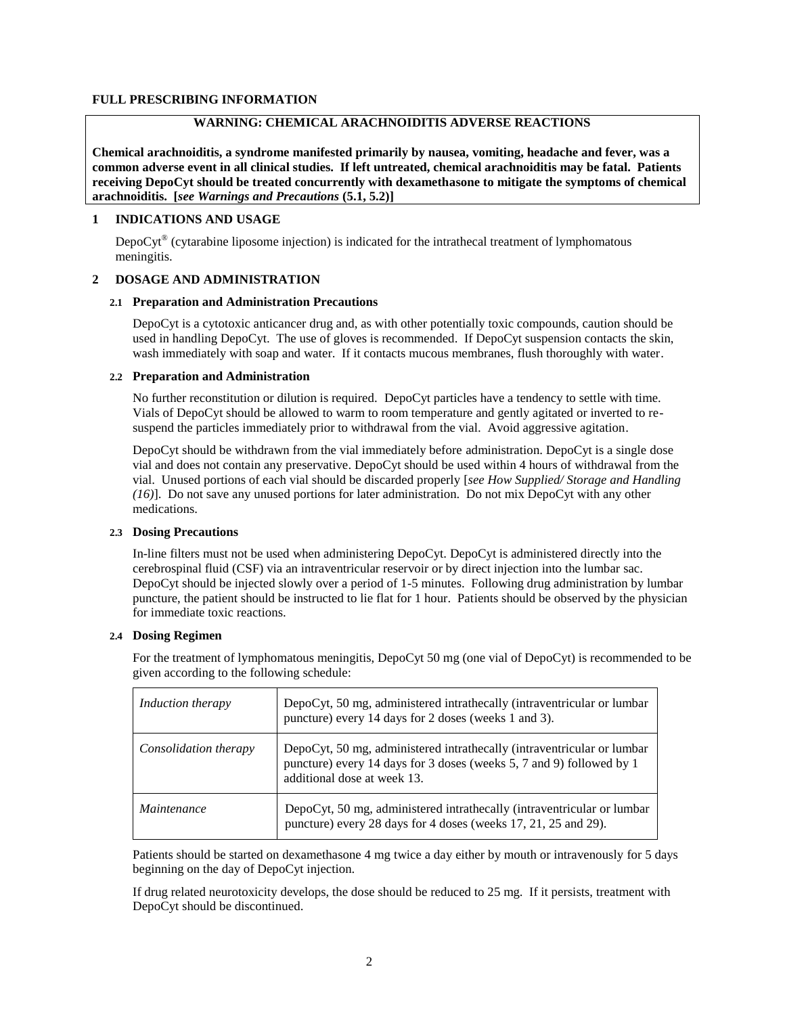## **FULL PRESCRIBING INFORMATION**

# **WARNING: CHEMICAL ARACHNOIDITIS ADVERSE REACTIONS**

**Chemical arachnoiditis, a syndrome manifested primarily by nausea, vomiting, headache and fever, was a common adverse event in all clinical studies. If left untreated, chemical arachnoiditis may be fatal. Patients receiving DepoCyt should be treated concurrently with dexamethasone to mitigate the symptoms of chemical arachnoiditis. [***see Warnings and Precautions* **(5.1, 5.2)]**

# **1 INDICATIONS AND USAGE**

DepoCyt<sup>®</sup> (cytarabine liposome injection) is indicated for the intrathecal treatment of lymphomatous meningitis.

## **2 DOSAGE AND ADMINISTRATION**

## **2.1 Preparation and Administration Precautions**

DepoCyt is a cytotoxic anticancer drug and, as with other potentially toxic compounds, caution should be used in handling DepoCyt. The use of gloves is recommended. If DepoCyt suspension contacts the skin, wash immediately with soap and water. If it contacts mucous membranes, flush thoroughly with water.

## **2.2 Preparation and Administration**

No further reconstitution or dilution is required. DepoCyt particles have a tendency to settle with time. Vials of DepoCyt should be allowed to warm to room temperature and gently agitated or inverted to resuspend the particles immediately prior to withdrawal from the vial. Avoid aggressive agitation.

DepoCyt should be withdrawn from the vial immediately before administration. DepoCyt is a single dose vial and does not contain any preservative. DepoCyt should be used within 4 hours of withdrawal from the vial. Unused portions of each vial should be discarded properly [*see How Supplied/ Storage and Handling (16)*]. Do not save any unused portions for later administration. Do not mix DepoCyt with any other medications.

## **2.3 Dosing Precautions**

In-line filters must not be used when administering DepoCyt. DepoCyt is administered directly into the cerebrospinal fluid (CSF) via an intraventricular reservoir or by direct injection into the lumbar sac. DepoCyt should be injected slowly over a period of 1-5 minutes. Following drug administration by lumbar puncture, the patient should be instructed to lie flat for 1 hour. Patients should be observed by the physician for immediate toxic reactions.

## **2.4 Dosing Regimen**

| <i>Induction therapy</i> | DepoCyt, 50 mg, administered intrathecally (intraventricular or lumbar<br>puncture) every 14 days for 2 doses (weeks 1 and 3).                                                |
|--------------------------|-------------------------------------------------------------------------------------------------------------------------------------------------------------------------------|
| Consolidation therapy    | DepoCyt, 50 mg, administered intrathecally (intraventricular or lumbar<br>puncture) every 14 days for 3 doses (weeks 5, 7 and 9) followed by 1<br>additional dose at week 13. |
| Maintenance              | DepoCyt, 50 mg, administered intrathecally (intraventricular or lumbar<br>puncture) every 28 days for 4 doses (weeks 17, 21, 25 and 29).                                      |

For the treatment of lymphomatous meningitis, DepoCyt 50 mg (one vial of DepoCyt) is recommended to be given according to the following schedule:

Patients should be started on dexamethasone 4 mg twice a day either by mouth or intravenously for 5 days beginning on the day of DepoCyt injection.

If drug related neurotoxicity develops, the dose should be reduced to 25 mg. If it persists, treatment with DepoCyt should be discontinued.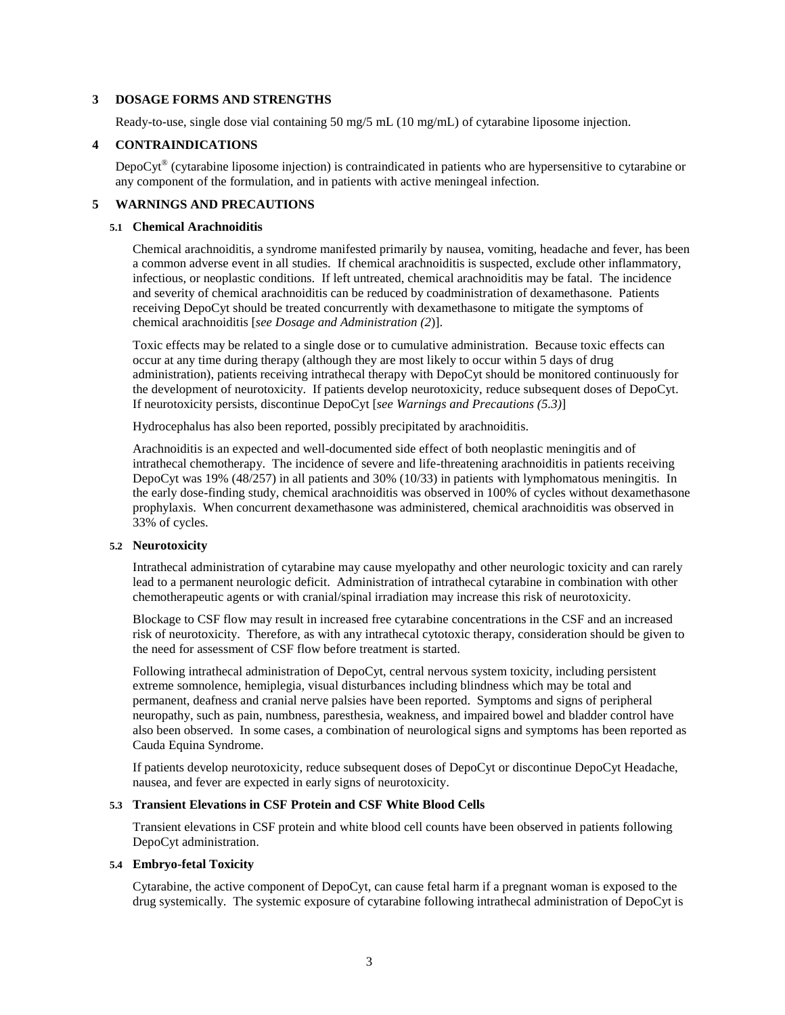## **3 DOSAGE FORMS AND STRENGTHS**

Ready-to-use, single dose vial containing 50 mg/5 mL (10 mg/mL) of cytarabine liposome injection.

#### **4 CONTRAINDICATIONS**

DepoCyt<sup>®</sup> (cytarabine liposome injection) is contraindicated in patients who are hypersensitive to cytarabine or any component of the formulation, and in patients with active meningeal infection.

## **5 WARNINGS AND PRECAUTIONS**

#### **5.1 Chemical Arachnoiditis**

Chemical arachnoiditis, a syndrome manifested primarily by nausea, vomiting, headache and fever, has been a common adverse event in all studies. If chemical arachnoiditis is suspected, exclude other inflammatory, infectious, or neoplastic conditions. If left untreated, chemical arachnoiditis may be fatal. The incidence and severity of chemical arachnoiditis can be reduced by coadministration of dexamethasone. Patients receiving DepoCyt should be treated concurrently with dexamethasone to mitigate the symptoms of chemical arachnoiditis [*see Dosage and Administration (2*)].

Toxic effects may be related to a single dose or to cumulative administration. Because toxic effects can occur at any time during therapy (although they are most likely to occur within 5 days of drug administration), patients receiving intrathecal therapy with DepoCyt should be monitored continuously for the development of neurotoxicity. If patients develop neurotoxicity, reduce subsequent doses of DepoCyt. If neurotoxicity persists, discontinue DepoCyt [*see Warnings and Precautions (5.3)*]

Hydrocephalus has also been reported, possibly precipitated by arachnoiditis.

Arachnoiditis is an expected and well-documented side effect of both neoplastic meningitis and of intrathecal chemotherapy. The incidence of severe and life-threatening arachnoiditis in patients receiving DepoCyt was 19% (48/257) in all patients and 30% (10/33) in patients with lymphomatous meningitis. In the early dose-finding study, chemical arachnoiditis was observed in 100% of cycles without dexamethasone prophylaxis. When concurrent dexamethasone was administered, chemical arachnoiditis was observed in 33% of cycles.

#### **5.2 Neurotoxicity**

Intrathecal administration of cytarabine may cause myelopathy and other neurologic toxicity and can rarely lead to a permanent neurologic deficit. Administration of intrathecal cytarabine in combination with other chemotherapeutic agents or with cranial/spinal irradiation may increase this risk of neurotoxicity.

Blockage to CSF flow may result in increased free cytarabine concentrations in the CSF and an increased risk of neurotoxicity. Therefore, as with any intrathecal cytotoxic therapy, consideration should be given to the need for assessment of CSF flow before treatment is started.

Following intrathecal administration of DepoCyt, central nervous system toxicity, including persistent extreme somnolence, hemiplegia, visual disturbances including blindness which may be total and permanent, deafness and cranial nerve palsies have been reported. Symptoms and signs of peripheral neuropathy, such as pain, numbness, paresthesia, weakness, and impaired bowel and bladder control have also been observed. In some cases, a combination of neurological signs and symptoms has been reported as Cauda Equina Syndrome.

If patients develop neurotoxicity, reduce subsequent doses of DepoCyt or discontinue DepoCyt Headache, nausea, and fever are expected in early signs of neurotoxicity.

## **5.3 Transient Elevations in CSF Protein and CSF White Blood Cells**

Transient elevations in CSF protein and white blood cell counts have been observed in patients following DepoCyt administration.

#### **5.4 Embryo-fetal Toxicity**

Cytarabine, the active component of DepoCyt, can cause fetal harm if a pregnant woman is exposed to the drug systemically. The systemic exposure of cytarabine following intrathecal administration of DepoCyt is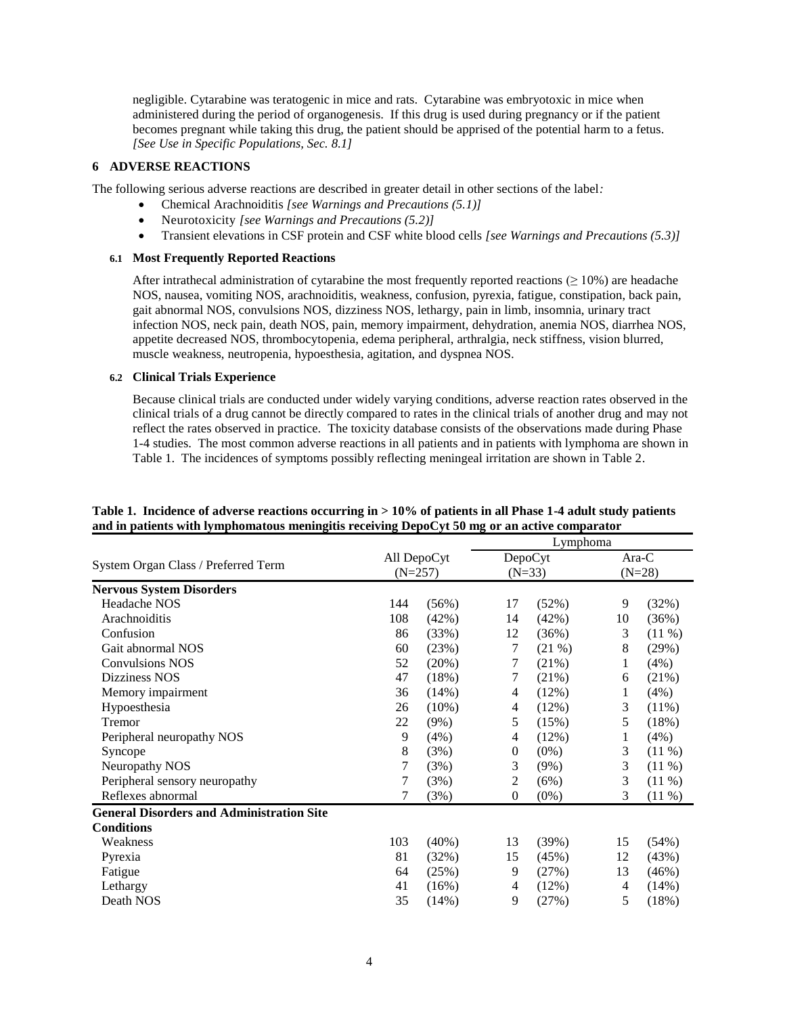negligible. Cytarabine was teratogenic in mice and rats. Cytarabine was embryotoxic in mice when administered during the period of organogenesis. If this drug is used during pregnancy or if the patient becomes pregnant while taking this drug, the patient should be apprised of the potential harm to a fetus. *[See Use in Specific Populations, Sec. 8.1]*

## **6 ADVERSE REACTIONS**

The following serious adverse reactions are described in greater detail in other sections of the label*:*

- Chemical Arachnoiditis *[see Warnings and Precautions (5.1)]*
- Neurotoxicity *[see Warnings and Precautions (5.2)]*
- Transient elevations in CSF protein and CSF white blood cells *[see Warnings and Precautions (5.3)]*

## **6.1 Most Frequently Reported Reactions**

After intrathecal administration of cytarabine the most frequently reported reactions ( $\geq 10\%$ ) are headache NOS, nausea, vomiting NOS, arachnoiditis, weakness, confusion, pyrexia, fatigue, constipation, back pain, gait abnormal NOS, convulsions NOS, dizziness NOS, lethargy, pain in limb, insomnia, urinary tract infection NOS, neck pain, death NOS, pain, memory impairment, dehydration, anemia NOS, diarrhea NOS, appetite decreased NOS, thrombocytopenia, edema peripheral, arthralgia, neck stiffness, vision blurred, muscle weakness, neutropenia, hypoesthesia, agitation, and dyspnea NOS.

## **6.2 Clinical Trials Experience**

Because clinical trials are conducted under widely varying conditions, adverse reaction rates observed in the clinical trials of a drug cannot be directly compared to rates in the clinical trials of another drug and may not reflect the rates observed in practice. The toxicity database consists of the observations made during Phase 1-4 studies. The most common adverse reactions in all patients and in patients with lymphoma are shown in Table 1. The incidences of symptoms possibly reflecting meningeal irritation are shown in Table 2.

|                                                  | Lymphoma                 |          |                     |         |                   |           |
|--------------------------------------------------|--------------------------|----------|---------------------|---------|-------------------|-----------|
|                                                  | All DepoCyt<br>$(N=257)$ |          | DepoCyt<br>$(N=33)$ |         | Ara-C<br>$(N=28)$ |           |
| System Organ Class / Preferred Term              |                          |          |                     |         |                   |           |
| <b>Nervous System Disorders</b>                  |                          |          |                     |         |                   |           |
| Headache NOS                                     | 144                      | (56%)    | 17                  | (52%)   | 9                 | (32%)     |
| Arachnoiditis                                    | 108                      | (42%)    | 14                  | (42%)   | 10                | (36%)     |
| Confusion                                        | 86                       | (33%)    | 12                  | (36%)   | 3                 | $(11\%)$  |
| Gait abnormal NOS                                | 60                       | (23%)    | 7                   | (21%)   | 8                 | (29%)     |
| <b>Convulsions NOS</b>                           | 52                       | (20%)    | 7                   | (21%)   | 1                 | (4%)      |
| Dizziness NOS                                    | 47                       | (18%)    | 7                   | (21%)   | 6                 | (21%)     |
| Memory impairment                                | 36                       | (14%)    | 4                   | (12%)   | 1                 | (4%)      |
| Hypoesthesia                                     | 26                       | $(10\%)$ | 4                   | (12%)   | 3                 | $(11\%)$  |
| Tremor                                           | 22                       | (9%)     | 5                   | (15%)   | 5                 | (18%)     |
| Peripheral neuropathy NOS                        | 9                        | $(4\%)$  | 4                   | (12%)   | 1                 | (4%)      |
| Syncope                                          | 8                        | (3%)     | $\theta$            | $(0\%)$ | 3                 | $(11 \%)$ |
| Neuropathy NOS                                   | 7                        | (3%)     | 3                   | $(9\%)$ | 3                 | $(11 \%)$ |
| Peripheral sensory neuropathy                    | 7                        | (3%)     | 2                   | (6%)    | 3                 | $(11 \%)$ |
| Reflexes abnormal                                | 7                        | (3%)     | $\mathbf{0}$        | $(0\%)$ | 3                 | $(11 \%)$ |
| <b>General Disorders and Administration Site</b> |                          |          |                     |         |                   |           |
| <b>Conditions</b>                                |                          |          |                     |         |                   |           |
| Weakness                                         | 103                      | $(40\%)$ | 13                  | (39%)   | 15                | (54%)     |
| Pyrexia                                          | 81                       | (32%)    | 15                  | (45%)   | 12                | (43%)     |
| Fatigue                                          | 64                       | (25%)    | 9                   | (27%)   | 13                | (46%)     |
| Lethargy                                         | 41                       | (16%)    | $\overline{4}$      | (12%)   | 4                 | (14%)     |
| Death NOS                                        | 35                       | (14%)    | 9                   | (27%)   | 5                 | (18%)     |

## **Table 1. Incidence of adverse reactions occurring in > 10% of patients in all Phase 1-4 adult study patients and in patients with lymphomatous meningitis receiving DepoCyt 50 mg or an active comparator**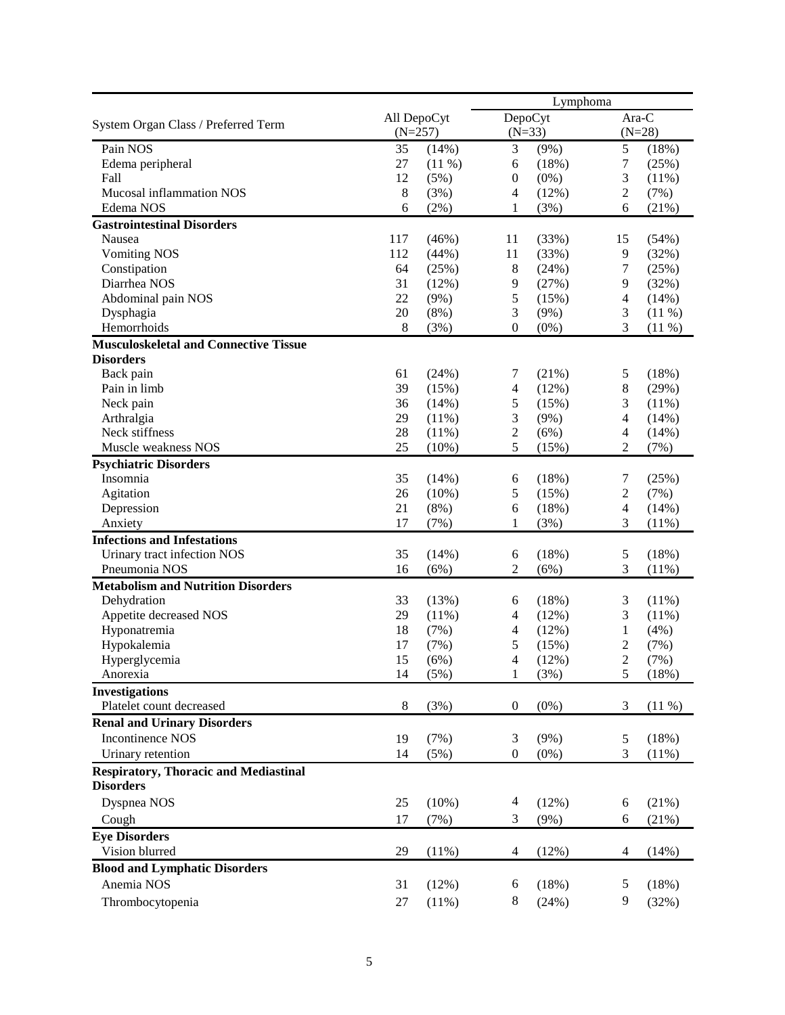|                                               |                          |               | Lymphoma                           |               |                          |                |
|-----------------------------------------------|--------------------------|---------------|------------------------------------|---------------|--------------------------|----------------|
| System Organ Class / Preferred Term           | All DepoCyt<br>$(N=257)$ |               | <b>DepoCyt</b><br>$(N=33)$         |               | Ara-C<br>$(N=28)$        |                |
| Pain NOS                                      | 35                       | (14%)         | 3                                  | $(9\%)$       | 5                        | (18%)          |
| Edema peripheral                              | 27                       | $(11\%)$      | 6                                  | (18%)         | 7                        | (25%)          |
| Fall                                          | 12                       | (5%)          | $\boldsymbol{0}$                   | $(0\%)$       | 3                        | $(11\%)$       |
| Mucosal inflammation NOS                      | $\,8\,$                  | (3%)          | 4                                  | (12%)         | $\overline{c}$           | (7%)           |
| Edema NOS                                     | 6                        | $(2\%)$       | 1                                  | (3%)          | 6                        | (21%)          |
| <b>Gastrointestinal Disorders</b>             |                          |               |                                    |               |                          |                |
| Nausea                                        | 117                      | (46%)         | 11                                 | (33%)         | 15                       | (54%)          |
| <b>Vomiting NOS</b>                           | 112                      | (44%)         | 11                                 | (33%)         | 9                        | (32%)          |
| Constipation                                  | 64                       | (25%)         | 8                                  | (24%)         | 7                        | (25%)          |
| Diarrhea NOS                                  | 31                       | (12%)         | $\mathbf{9}$                       | (27%)         | 9                        | (32%)          |
| Abdominal pain NOS                            | 22                       | (9%)          | 5                                  | (15%)         | 4                        | (14%)          |
| Dysphagia                                     | 20                       | (8%)          | 3                                  | (9%)          | 3                        | $(11\%)$       |
| Hemorrhoids                                   | $\,8$                    | (3%)          | $\boldsymbol{0}$                   | $(0\%)$       | 3                        | (11%)          |
| <b>Musculoskeletal and Connective Tissue</b>  |                          |               |                                    |               |                          |                |
| <b>Disorders</b>                              |                          |               |                                    |               |                          |                |
| Back pain                                     | 61                       | (24%)         | 7                                  | (21%)         | 5                        | (18%)          |
| Pain in limb                                  | 39                       | (15%)         | $\overline{4}$                     | (12%)         | 8                        | (29%)          |
| Neck pain                                     | 36                       | (14%)         | 5                                  | (15%)         | 3                        | (11%)          |
| Arthralgia                                    | 29                       | $(11\%)$      | 3                                  | $(9\%)$       | $\overline{\mathcal{L}}$ | (14%)          |
| Neck stiffness                                | 28                       | (11%)         | $\sqrt{2}$                         | (6%)          | 4                        | (14%)          |
| Muscle weakness NOS                           | 25                       | $(10\%)$      | 5                                  | (15%)         | $\overline{c}$           | (7%)           |
| <b>Psychiatric Disorders</b>                  |                          |               |                                    |               |                          |                |
| Insomnia                                      | 35                       | (14%)         | 6                                  | (18%)         | 7                        | (25%)          |
| Agitation                                     | 26                       | $(10\%)$      | $\sqrt{5}$                         | (15%)         | $\overline{c}$           | (7%)           |
| Depression                                    | 21<br>17                 | (8%)<br>(7%)  | $\epsilon$<br>1                    | (18%)         | 4<br>3                   | (14%)          |
| Anxiety<br><b>Infections and Infestations</b> |                          |               |                                    | (3%)          |                          | (11%)          |
|                                               | 35                       |               |                                    |               |                          |                |
| Urinary tract infection NOS<br>Pneumonia NOS  | 16                       | (14%)<br>(6%) | $\boldsymbol{6}$<br>$\overline{2}$ | (18%)<br>(6%) | 5<br>3                   | (18%)<br>(11%) |
| <b>Metabolism and Nutrition Disorders</b>     |                          |               |                                    |               |                          |                |
| Dehydration                                   | 33                       | (13%)         | 6                                  | (18%)         | 3                        | (11%)          |
| Appetite decreased NOS                        | 29                       | (11%)         | $\overline{\mathcal{A}}$           | (12%)         | 3                        | (11%)          |
| Hyponatremia                                  | 18                       | (7%)          | 4                                  | (12%)         | 1                        | (4%)           |
| Hypokalemia                                   | 17                       | (7%)          | 5                                  | (15%)         | $\overline{c}$           | (7%)           |
| Hyperglycemia                                 | 15                       | (6%)          | 4                                  | (12%)         | $\overline{2}$           | (7%)           |
| Anorexia                                      | 14                       | (5%)          | 1                                  | (3%)          | 5                        | (18%)          |
| <b>Investigations</b>                         |                          |               |                                    |               |                          |                |
| Platelet count decreased                      | $\,8$                    | (3%)          | $\boldsymbol{0}$                   | $(0\%)$       | 3                        | (11%)          |
| <b>Renal and Urinary Disorders</b>            |                          |               |                                    |               |                          |                |
| <b>Incontinence NOS</b>                       | 19                       | (7%)          | 3                                  | $(9\%)$       | 5                        | (18%)          |
| Urinary retention                             | 14                       | (5%)          | $\boldsymbol{0}$                   | $(0\%)$       | 3                        | (11%)          |
| <b>Respiratory, Thoracic and Mediastinal</b>  |                          |               |                                    |               |                          |                |
| <b>Disorders</b>                              |                          |               |                                    |               |                          |                |
| Dyspnea NOS                                   | 25                       | (10%)         | $\overline{4}$                     | (12%)         | 6                        | (21%)          |
| Cough                                         | 17                       | (7%)          | 3                                  | $(9\%)$       | 6                        | (21%)          |
| <b>Eye Disorders</b>                          |                          |               |                                    |               |                          |                |
| Vision blurred                                | 29                       | (11%)         | $\overline{4}$                     | (12%)         | 4                        | (14%)          |
| <b>Blood and Lymphatic Disorders</b>          |                          |               |                                    |               |                          |                |
| Anemia NOS                                    | 31                       | (12%)         | 6                                  | (18%)         | 5                        | (18%)          |
| Thrombocytopenia                              | 27                       | (11%)         | 8                                  | (24%)         | 9                        | (32%)          |
|                                               |                          |               |                                    |               |                          |                |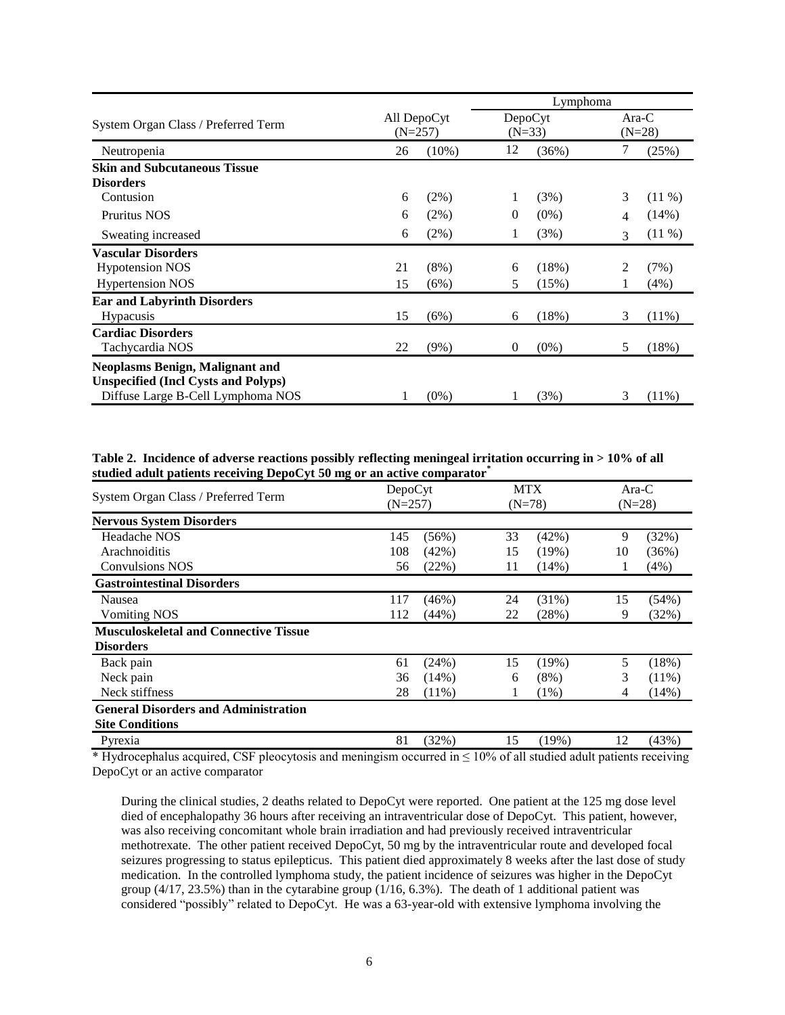|                                            |                          | Lymphoma |                     |         |                     |          |
|--------------------------------------------|--------------------------|----------|---------------------|---------|---------------------|----------|
| System Organ Class / Preferred Term        | All DepoCyt<br>$(N=257)$ |          | DepoCyt<br>$(N=33)$ |         | $Ara-C$<br>$(N=28)$ |          |
| Neutropenia                                | 26                       | $(10\%)$ | 12                  | (36%)   | 7                   | (25%)    |
| <b>Skin and Subcutaneous Tissue</b>        |                          |          |                     |         |                     |          |
| <b>Disorders</b>                           |                          |          |                     |         |                     |          |
| Contusion                                  | 6                        | $(2\%)$  |                     | (3%)    | 3                   | $(11\%)$ |
| Pruritus NOS                               | 6                        | $(2\%)$  | $\Omega$            | $(0\%)$ | 4                   | (14%)    |
| Sweating increased                         | 6                        | (2%)     | 1                   | (3%)    | $\mathcal{R}$       | $(11\%)$ |
| <b>Vascular Disorders</b>                  |                          |          |                     |         |                     |          |
| <b>Hypotension NOS</b>                     | 21                       | (8%)     | 6                   | (18%)   | 2                   | (7%)     |
| <b>Hypertension NOS</b>                    | 15                       | (6%)     | 5                   | (15%)   | 1                   | (4%)     |
| <b>Ear and Labyrinth Disorders</b>         |                          |          |                     |         |                     |          |
| Hypacusis                                  | 15                       | (6%)     | 6                   | (18%)   | 3                   | (11%)    |
| <b>Cardiac Disorders</b>                   |                          |          |                     |         |                     |          |
| Tachycardia NOS                            | 22                       | (9%)     | $\theta$            | $(0\%)$ | 5                   | (18%)    |
| <b>Neoplasms Benign, Malignant and</b>     |                          |          |                     |         |                     |          |
| <b>Unspecified (Incl Cysts and Polyps)</b> |                          |          |                     |         |                     |          |
| Diffuse Large B-Cell Lymphoma NOS          |                          | $(0\%)$  |                     | (3%)    | 3                   | $(11\%)$ |

**Table 2. Incidence of adverse reactions possibly reflecting meningeal irritation occurring in > 10% of all studied adult patients receiving DepoCyt 50 mg or an active comparator\***

| System Organ Class / Preferred Term          | DepoCyt<br>$(N=257)$ |          | <b>MTX</b><br>$(N=78)$ |          | Ara-C<br>$(N=28)$ |       |
|----------------------------------------------|----------------------|----------|------------------------|----------|-------------------|-------|
| <b>Nervous System Disorders</b>              |                      |          |                        |          |                   |       |
| Headache NOS                                 | 145                  | (56%)    | 33                     | (42%)    | 9                 | (32%) |
| Arachnoiditis                                | 108                  | (42%)    | 15                     | (19%)    | 10                | (36%) |
| <b>Convulsions NOS</b>                       | 56                   | (22%)    | 11                     | $(14\%)$ | 1                 | (4%)  |
| <b>Gastrointestinal Disorders</b>            |                      |          |                        |          |                   |       |
| Nausea                                       | 117                  | (46%)    | 24                     | $(31\%)$ | 15                | (54%) |
| <b>Vomiting NOS</b>                          | 112                  | (44%)    | 22                     | (28%)    | 9                 | (32%) |
| <b>Musculoskeletal and Connective Tissue</b> |                      |          |                        |          |                   |       |
| <b>Disorders</b>                             |                      |          |                        |          |                   |       |
| Back pain                                    | 61                   | (24%)    | 15                     | (19%)    | 5                 | (18%) |
| Neck pain                                    | 36                   | $(14\%)$ | 6                      | $(8\%)$  | 3                 | (11%) |
| Neck stiffness                               | 28                   | $(11\%)$ | 1                      | $(1\%)$  | 4                 | (14%) |
| <b>General Disorders and Administration</b>  |                      |          |                        |          |                   |       |
| <b>Site Conditions</b>                       |                      |          |                        |          |                   |       |
| Pyrexia                                      | 81                   | (32%)    | 15                     | (19%)    | 12                | (43%) |

\* Hydrocephalus acquired, CSF pleocytosis and meningism occurred in  $\leq 10\%$  of all studied adult patients receiving DepoCyt or an active comparator

During the clinical studies, 2 deaths related to DepoCyt were reported. One patient at the 125 mg dose level died of encephalopathy 36 hours after receiving an intraventricular dose of DepoCyt. This patient, however, was also receiving concomitant whole brain irradiation and had previously received intraventricular methotrexate. The other patient received DepoCyt, 50 mg by the intraventricular route and developed focal seizures progressing to status epilepticus. This patient died approximately 8 weeks after the last dose of study medication. In the controlled lymphoma study, the patient incidence of seizures was higher in the DepoCyt group  $(4/17, 23.5\%)$  than in the cytarabine group  $(1/16, 6.3\%)$ . The death of 1 additional patient was considered "possibly" related to DepoCyt. He was a 63-year-old with extensive lymphoma involving the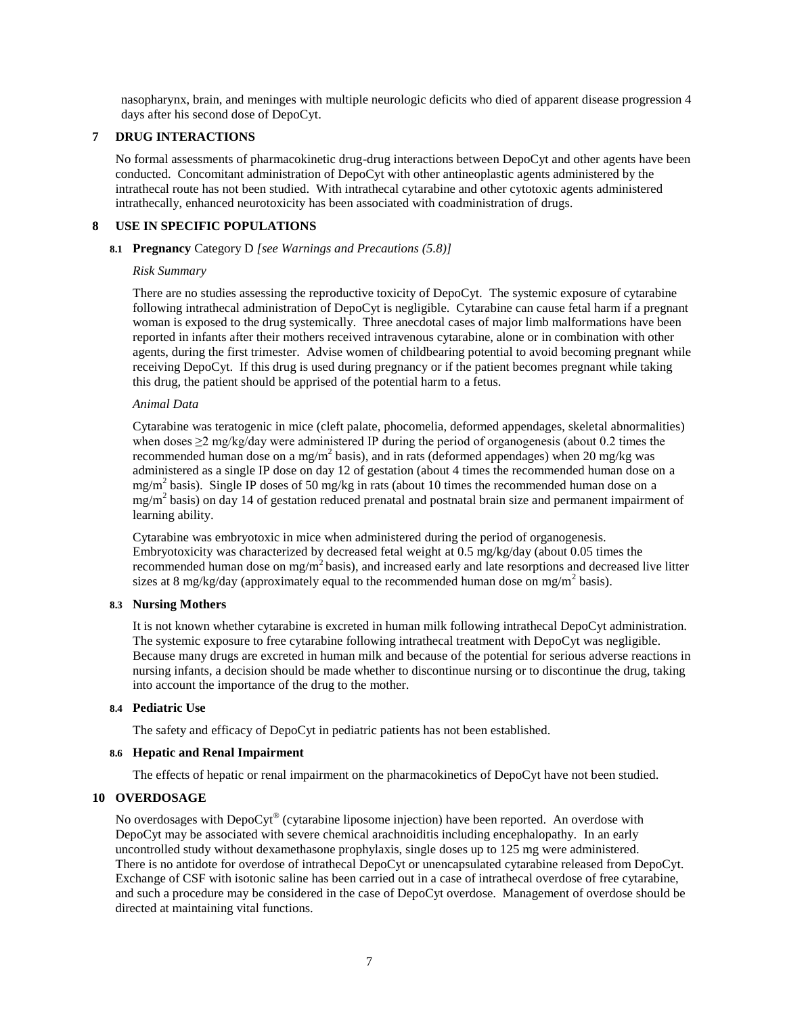nasopharynx, brain, and meninges with multiple neurologic deficits who died of apparent disease progression 4 days after his second dose of DepoCyt.

## **7 DRUG INTERACTIONS**

No formal assessments of pharmacokinetic drug-drug interactions between DepoCyt and other agents have been conducted. Concomitant administration of DepoCyt with other antineoplastic agents administered by the intrathecal route has not been studied. With intrathecal cytarabine and other cytotoxic agents administered intrathecally, enhanced neurotoxicity has been associated with coadministration of drugs.

## **8 USE IN SPECIFIC POPULATIONS**

## **8.1 Pregnancy** Category D *[see Warnings and Precautions (5.8)]*

## *Risk Summary*

There are no studies assessing the reproductive toxicity of DepoCyt. The systemic exposure of cytarabine following intrathecal administration of DepoCyt is negligible. Cytarabine can cause fetal harm if a pregnant woman is exposed to the drug systemically. Three anecdotal cases of major limb malformations have been reported in infants after their mothers received intravenous cytarabine, alone or in combination with other agents, during the first trimester. Advise women of childbearing potential to avoid becoming pregnant while receiving DepoCyt. If this drug is used during pregnancy or if the patient becomes pregnant while taking this drug, the patient should be apprised of the potential harm to a fetus.

## *Animal Data*

Cytarabine was teratogenic in mice (cleft palate, phocomelia, deformed appendages, skeletal abnormalities) when doses  $\geq$ 2 mg/kg/day were administered IP during the period of organogenesis (about 0.2 times the recommended human dose on a mg/m<sup>2</sup> basis), and in rats (deformed appendages) when 20 mg/kg was administered as a single IP dose on day 12 of gestation (about 4 times the recommended human dose on a mg/m<sup>2</sup> basis). Single IP doses of 50 mg/kg in rats (about 10 times the recommended human dose on a mg/m<sup>2</sup> basis) on day 14 of gestation reduced prenatal and postnatal brain size and permanent impairment of learning ability.

Cytarabine was embryotoxic in mice when administered during the period of organogenesis. Embryotoxicity was characterized by decreased fetal weight at 0.5 mg/kg/day (about 0.05 times the recommended human dose on mg/m<sup>2</sup> basis), and increased early and late resorptions and decreased live litter sizes at 8 mg/kg/day (approximately equal to the recommended human dose on mg/m<sup>2</sup> basis).

## **8.3 Nursing Mothers**

It is not known whether cytarabine is excreted in human milk following intrathecal DepoCyt administration. The systemic exposure to free cytarabine following intrathecal treatment with DepoCyt was negligible. Because many drugs are excreted in human milk and because of the potential for serious adverse reactions in nursing infants, a decision should be made whether to discontinue nursing or to discontinue the drug, taking into account the importance of the drug to the mother.

## **8.4 Pediatric Use**

The safety and efficacy of DepoCyt in pediatric patients has not been established.

## **8.6 Hepatic and Renal Impairment**

The effects of hepatic or renal impairment on the pharmacokinetics of DepoCyt have not been studied.

# **10 OVERDOSAGE**

No overdosages with DepoCyt® (cytarabine liposome injection) have been reported. An overdose with DepoCyt may be associated with severe chemical arachnoiditis including encephalopathy. In an early uncontrolled study without dexamethasone prophylaxis, single doses up to 125 mg were administered. There is no antidote for overdose of intrathecal DepoCyt or unencapsulated cytarabine released from DepoCyt. Exchange of CSF with isotonic saline has been carried out in a case of intrathecal overdose of free cytarabine, and such a procedure may be considered in the case of DepoCyt overdose. Management of overdose should be directed at maintaining vital functions.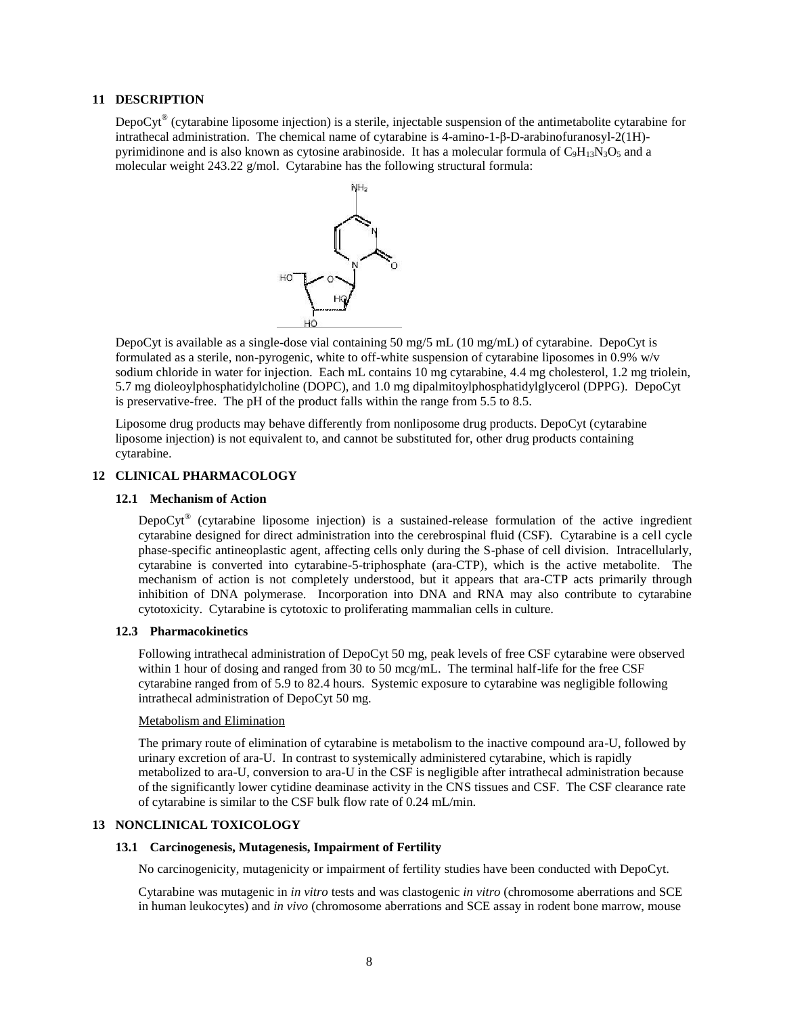## **11 DESCRIPTION**

DepoCyt<sup>®</sup> (cytarabine liposome injection) is a sterile, injectable suspension of the antimetabolite cytarabine for intrathecal administration. The chemical name of cytarabine is 4-amino-1-β-D-arabinofuranosyl-2(1H) pyrimidinone and is also known as cytosine arabinoside. It has a molecular formula of  $C_9H_{13}N_3O_5$  and a molecular weight 243.22 g/mol. Cytarabine has the following structural formula:



DepoCyt is available as a single-dose vial containing 50 mg/5 mL (10 mg/mL) of cytarabine. DepoCyt is formulated as a sterile, non-pyrogenic, white to off-white suspension of cytarabine liposomes in 0.9% w/v sodium chloride in water for injection. Each mL contains 10 mg cytarabine, 4.4 mg cholesterol, 1.2 mg triolein, 5.7 mg dioleoylphosphatidylcholine (DOPC), and 1.0 mg dipalmitoylphosphatidylglycerol (DPPG). DepoCyt is preservative-free. The pH of the product falls within the range from 5.5 to 8.5.

Liposome drug products may behave differently from nonliposome drug products. DepoCyt (cytarabine liposome injection) is not equivalent to, and cannot be substituted for, other drug products containing cytarabine.

#### **12 CLINICAL PHARMACOLOGY**

#### **12.1 Mechanism of Action**

DepoCyt<sup>®</sup> (cytarabine liposome injection) is a sustained-release formulation of the active ingredient cytarabine designed for direct administration into the cerebrospinal fluid (CSF). Cytarabine is a cell cycle phase-specific antineoplastic agent, affecting cells only during the S-phase of cell division. Intracellularly, cytarabine is converted into cytarabine-5-triphosphate (ara-CTP), which is the active metabolite. The mechanism of action is not completely understood, but it appears that ara-CTP acts primarily through inhibition of DNA polymerase. Incorporation into DNA and RNA may also contribute to cytarabine cytotoxicity. Cytarabine is cytotoxic to proliferating mammalian cells in culture.

#### **12.3 Pharmacokinetics**

Following intrathecal administration of DepoCyt 50 mg, peak levels of free CSF cytarabine were observed within 1 hour of dosing and ranged from 30 to 50 mcg/mL. The terminal half-life for the free CSF cytarabine ranged from of 5.9 to 82.4 hours. Systemic exposure to cytarabine was negligible following intrathecal administration of DepoCyt 50 mg.

#### Metabolism and Elimination

The primary route of elimination of cytarabine is metabolism to the inactive compound ara-U, followed by urinary excretion of ara-U. In contrast to systemically administered cytarabine, which is rapidly metabolized to ara-U, conversion to ara-U in the CSF is negligible after intrathecal administration because of the significantly lower cytidine deaminase activity in the CNS tissues and CSF. The CSF clearance rate of cytarabine is similar to the CSF bulk flow rate of 0.24 mL/min.

# **13 NONCLINICAL TOXICOLOGY**

## **13.1 Carcinogenesis, Mutagenesis, Impairment of Fertility**

No carcinogenicity, mutagenicity or impairment of fertility studies have been conducted with DepoCyt.

Cytarabine was mutagenic in *in vitro* tests and was clastogenic *in vitro* (chromosome aberrations and SCE in human leukocytes) and *in vivo* (chromosome aberrations and SCE assay in rodent bone marrow, mouse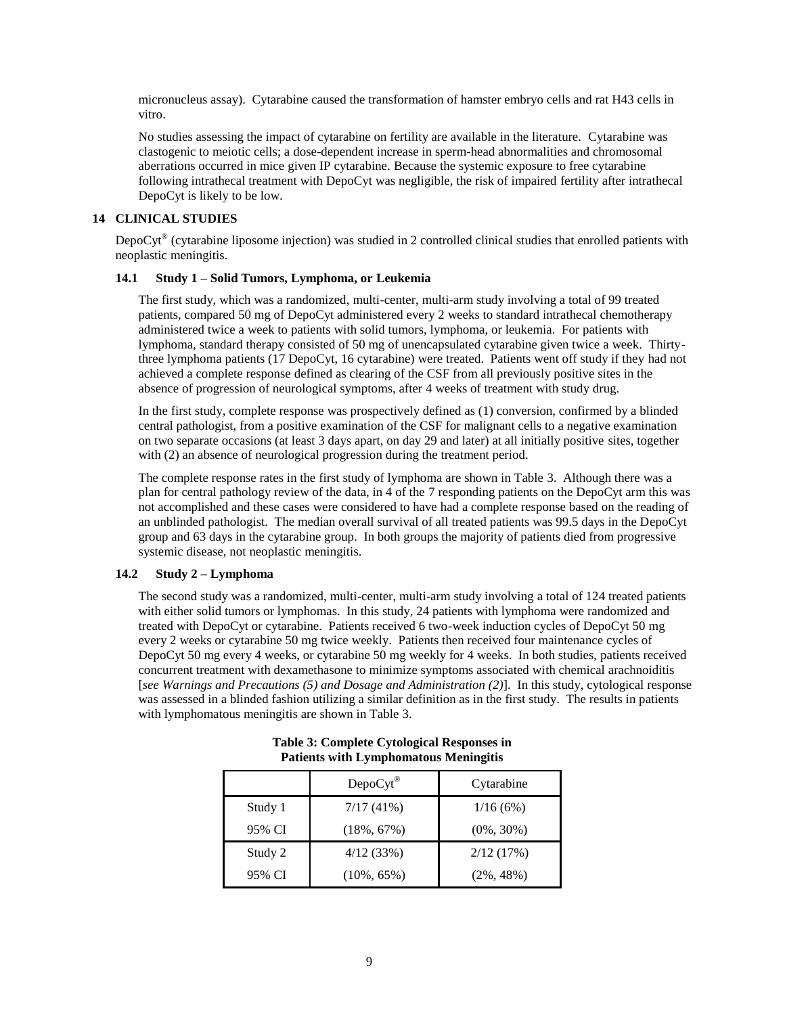micronucleus assay). Cytarabine caused the transformation of hamster embryo cells and rat H43 cells in vitro.

No studies assessing the impact of cytarabine on fertility are available in the literature. Cytarabine was clastogenic to meiotic cells; a dose-dependent increase in sperm-head abnormalities and chromosomal aberrations occurred in mice given IP cytarabine. Because the systemic exposure to free cytarabine following intrathecal treatment with DepoCyt was negligible, the risk of impaired fertility after intrathecal DepoCyt is likely to be low.

# **14 CLINICAL STUDIES**

DepoCyt® (cytarabine liposome injection) was studied in 2 controlled clinical studies that enrolled patients with neoplastic meningitis.

# **14.1 Study 1 – Solid Tumors, Lymphoma, or Leukemia**

The first study, which was a randomized, multi-center, multi-arm study involving a total of 99 treated patients, compared 50 mg of DepoCyt administered every 2 weeks to standard intrathecal chemotherapy administered twice a week to patients with solid tumors, lymphoma, or leukemia. For patients with lymphoma, standard therapy consisted of 50 mg of unencapsulated cytarabine given twice a week. Thirtythree lymphoma patients (17 DepoCyt, 16 cytarabine) were treated. Patients went off study if they had not achieved a complete response defined as clearing of the CSF from all previously positive sites in the absence of progression of neurological symptoms, after 4 weeks of treatment with study drug.

In the first study, complete response was prospectively defined as (1) conversion, confirmed by a blinded central pathologist, from a positive examination of the CSF for malignant cells to a negative examination on two separate occasions (at least 3 days apart, on day 29 and later) at all initially positive sites, together with (2) an absence of neurological progression during the treatment period.

The complete response rates in the first study of lymphoma are shown in Table 3. Although there was a plan for central pathology review of the data, in 4 of the 7 responding patients on the DepoCyt arm this was not accomplished and these cases were considered to have had a complete response based on the reading of an unblinded pathologist. The median overall survival of all treated patients was 99.5 days in the DepoCyt group and 63 days in the cytarabine group. In both groups the majority of patients died from progressive systemic disease, not neoplastic meningitis.

# **14.2 Study 2 – Lymphoma**

The second study was a randomized, multi-center, multi-arm study involving a total of 124 treated patients with either solid tumors or lymphomas. In this study, 24 patients with lymphoma were randomized and treated with DepoCyt or cytarabine. Patients received 6 two-week induction cycles of DepoCyt 50 mg every 2 weeks or cytarabine 50 mg twice weekly. Patients then received four maintenance cycles of DepoCyt 50 mg every 4 weeks, or cytarabine 50 mg weekly for 4 weeks. In both studies, patients received concurrent treatment with dexamethasone to minimize symptoms associated with chemical arachnoiditis [*see Warnings and Precautions (5) and Dosage and Administration (2)*]. In this study, cytological response was assessed in a blinded fashion utilizing a similar definition as in the first study. The results in patients with lymphomatous meningitis are shown in Table 3.

|         | $DepoCyt^{\circledR}$ | Cytarabine    |
|---------|-----------------------|---------------|
| Study 1 | 7/17(41%)             | 1/16(6%)      |
| 95% CI  | $(18\%, 67\%)$        | $(0\%, 30\%)$ |
| Study 2 | 4/12(33%)             | 2/12(17%)     |
| 95% CI  | $(10\%, 65\%)$        | $(2\%, 48\%)$ |

**Table 3: Complete Cytological Responses in Patients with Lymphomatous Meningitis**